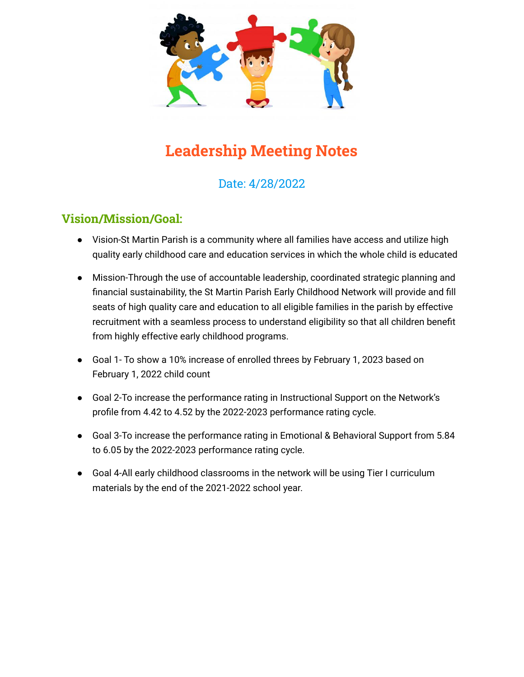

# **Leadership Meeting Notes**

# Date: 4/28/2022

## **Vision/Mission/Goal:**

- Vision-St Martin Parish is a community where all families have access and utilize high quality early childhood care and education services in which the whole child is educated
- Mission-Through the use of accountable leadership, coordinated strategic planning and financial sustainability, the St Martin Parish Early Childhood Network will provide and fill seats of high quality care and education to all eligible families in the parish by effective recruitment with a seamless process to understand eligibility so that all children benefit from highly effective early childhood programs.
- Goal 1- To show a 10% increase of enrolled threes by February 1, 2023 based on February 1, 2022 child count
- Goal 2-To increase the performance rating in Instructional Support on the Network's profile from 4.42 to 4.52 by the 2022-2023 performance rating cycle.
- Goal 3-To increase the performance rating in Emotional & Behavioral Support from 5.84 to 6.05 by the 2022-2023 performance rating cycle.
- Goal 4-All early childhood classrooms in the network will be using Tier I curriculum materials by the end of the 2021-2022 school year.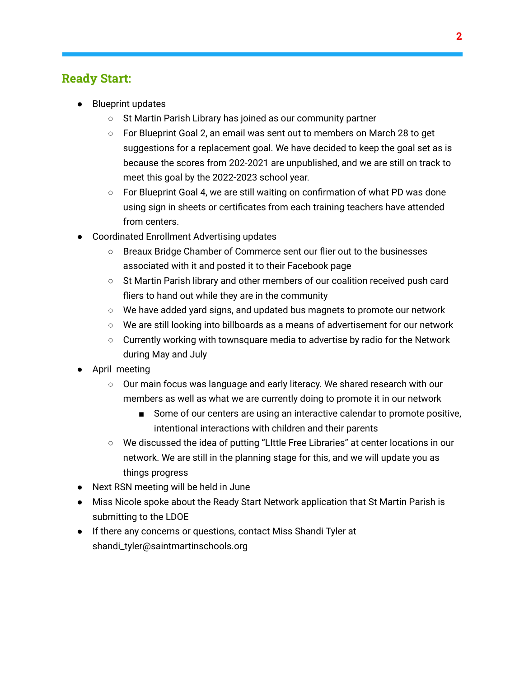### **Ready Start:**

- Blueprint updates
	- St Martin Parish Library has joined as our community partner
	- For Blueprint Goal 2, an email was sent out to members on March 28 to get suggestions for a replacement goal. We have decided to keep the goal set as is because the scores from 202-2021 are unpublished, and we are still on track to meet this goal by the 2022-2023 school year.
	- For Blueprint Goal 4, we are still waiting on confirmation of what PD was done using sign in sheets or certificates from each training teachers have attended from centers.
- **Coordinated Enrollment Advertising updates** 
	- Breaux Bridge Chamber of Commerce sent our flier out to the businesses associated with it and posted it to their Facebook page
	- St Martin Parish library and other members of our coalition received push card fliers to hand out while they are in the community
	- We have added yard signs, and updated bus magnets to promote our network
	- $\circ$  We are still looking into billboards as a means of advertisement for our network
	- $\circ$  Currently working with townsquare media to advertise by radio for the Network during May and July
- April meeting
	- Our main focus was language and early literacy. We shared research with our members as well as what we are currently doing to promote it in our network
		- Some of our centers are using an interactive calendar to promote positive, intentional interactions with children and their parents
	- We discussed the idea of putting "LIttle Free Libraries" at center locations in our network. We are still in the planning stage for this, and we will update you as things progress
- Next RSN meeting will be held in June
- Miss Nicole spoke about the Ready Start Network application that St Martin Parish is submitting to the LDOE
- If there any concerns or questions, contact Miss Shandi Tyler at shandi\_tyler@saintmartinschools.org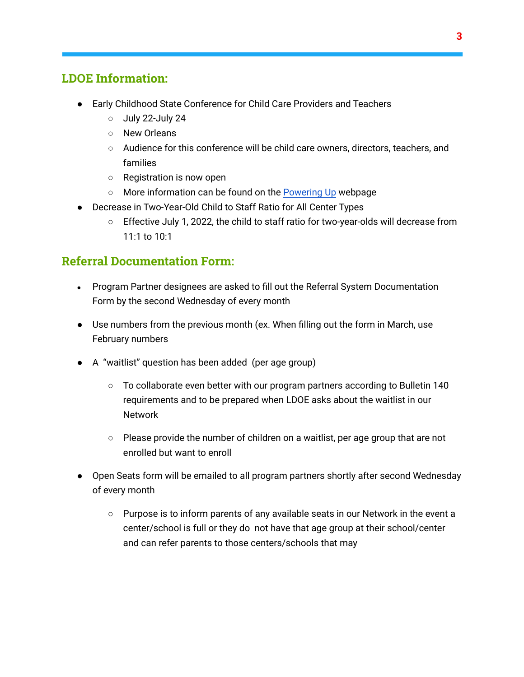## **LDOE Information:**

- Early Childhood State Conference for Child Care Providers and Teachers
	- July 22-July 24
	- New Orleans
	- Audience for this conference will be child care owners, directors, teachers, and families
	- Registration is now open
	- More information can be found on the [Powering](https://www.louisianabelieves.com/early-childhood-conference-2022) Up webpage
- Decrease in Two-Year-Old Child to Staff Ratio for All Center Types
	- Effective July 1, 2022, the child to staff ratio for two-year-olds will decrease from 11:1 to 10:1

### **Referral Documentation Form:**

- Program Partner designees are asked to fill out the Referral System Documentation Form by the second Wednesday of every month
- Use numbers from the previous month (ex. When filling out the form in March, use February numbers
- A "waitlist" question has been added (per age group)
	- To collaborate even better with our program partners according to Bulletin 140 requirements and to be prepared when LDOE asks about the waitlist in our Network
	- $\circ$  Please provide the number of children on a waitlist, per age group that are not enrolled but want to enroll
- Open Seats form will be emailed to all program partners shortly after second Wednesday of every month
	- $\circ$  Purpose is to inform parents of any available seats in our Network in the event a center/school is full or they do not have that age group at their school/center and can refer parents to those centers/schools that may